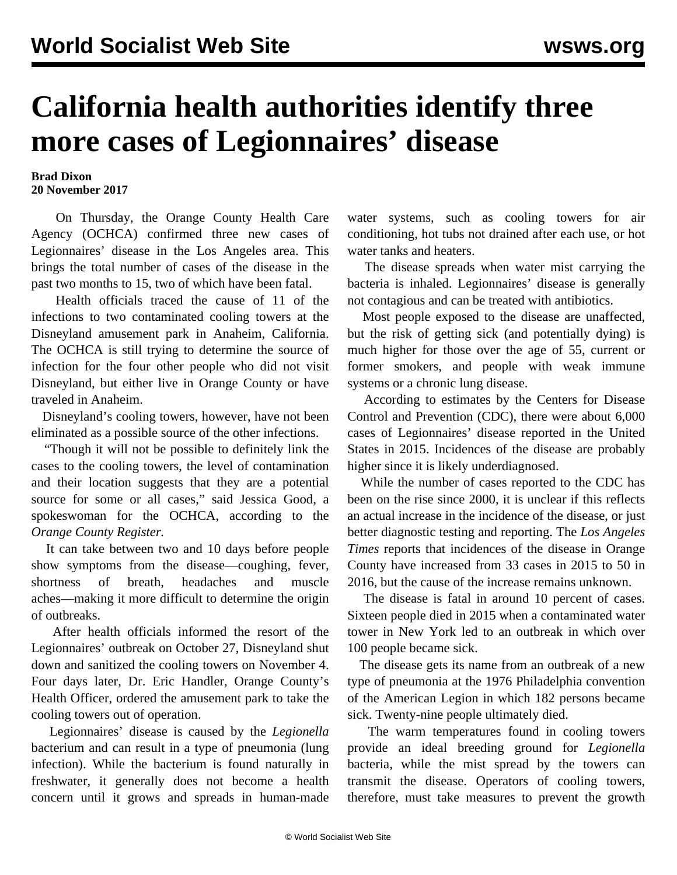## **California health authorities identify three more cases of Legionnaires' disease**

## **Brad Dixon 20 November 2017**

 On Thursday, the Orange County Health Care Agency (OCHCA) confirmed three new cases of Legionnaires' disease in the Los Angeles area. This brings the total number of cases of the disease in the past two months to 15, two of which have been fatal.

 Health officials traced the cause of 11 of the infections to two contaminated cooling towers at the Disneyland amusement park in Anaheim, California. The OCHCA is still trying to determine the source of infection for the four other people who did not visit Disneyland, but either live in Orange County or have traveled in Anaheim.

 Disneyland's cooling towers, however, have not been eliminated as a possible source of the other infections.

 "Though it will not be possible to definitely link the cases to the cooling towers, the level of contamination and their location suggests that they are a potential source for some or all cases," said Jessica Good, a spokeswoman for the OCHCA, according to the *Orange County Register.*

 It can take between two and 10 days before people show symptoms from the disease—coughing, fever, shortness of breath, headaches and muscle aches—making it more difficult to determine the origin of outbreaks.

 After health officials informed the resort of the Legionnaires' outbreak on October 27, Disneyland shut down and sanitized the cooling towers on November 4. Four days later, Dr. Eric Handler, Orange County's Health Officer, ordered the amusement park to take the cooling towers out of operation.

 Legionnaires' disease is caused by the *Legionella* bacterium and can result in a type of pneumonia (lung infection). While the bacterium is found naturally in freshwater, it generally does not become a health concern until it grows and spreads in human-made

water systems, such as cooling towers for air conditioning, hot tubs not drained after each use, or hot water tanks and heaters.

 The disease spreads when water mist carrying the bacteria is inhaled. Legionnaires' disease is generally not contagious and can be treated with antibiotics.

 Most people exposed to the disease are unaffected, but the risk of getting sick (and potentially dying) is much higher for those over the age of 55, current or former smokers, and people with weak immune systems or a chronic lung disease.

 According to estimates by the Centers for Disease Control and Prevention (CDC), there were about 6,000 cases of Legionnaires' disease reported in the United States in 2015. Incidences of the disease are probably higher since it is likely underdiagnosed.

 While the number of cases reported to the CDC has been on the rise since 2000, it is unclear if this reflects an actual increase in the incidence of the disease, or just better diagnostic testing and reporting. The *Los Angeles Times* reports that incidences of the disease in Orange County have increased from 33 cases in 2015 to 50 in 2016, but the cause of the increase remains unknown.

 The disease is fatal in around 10 percent of cases. Sixteen people died in 2015 when a contaminated water tower in New York led to an outbreak in which over 100 people became sick.

 The disease gets its name from an outbreak of a new type of pneumonia at the 1976 Philadelphia convention of the American Legion in which 182 persons became sick. Twenty-nine people ultimately died.

 The warm temperatures found in cooling towers provide an ideal breeding ground for *Legionella* bacteria, while the mist spread by the towers can transmit the disease. Operators of cooling towers, therefore, must take measures to prevent the growth